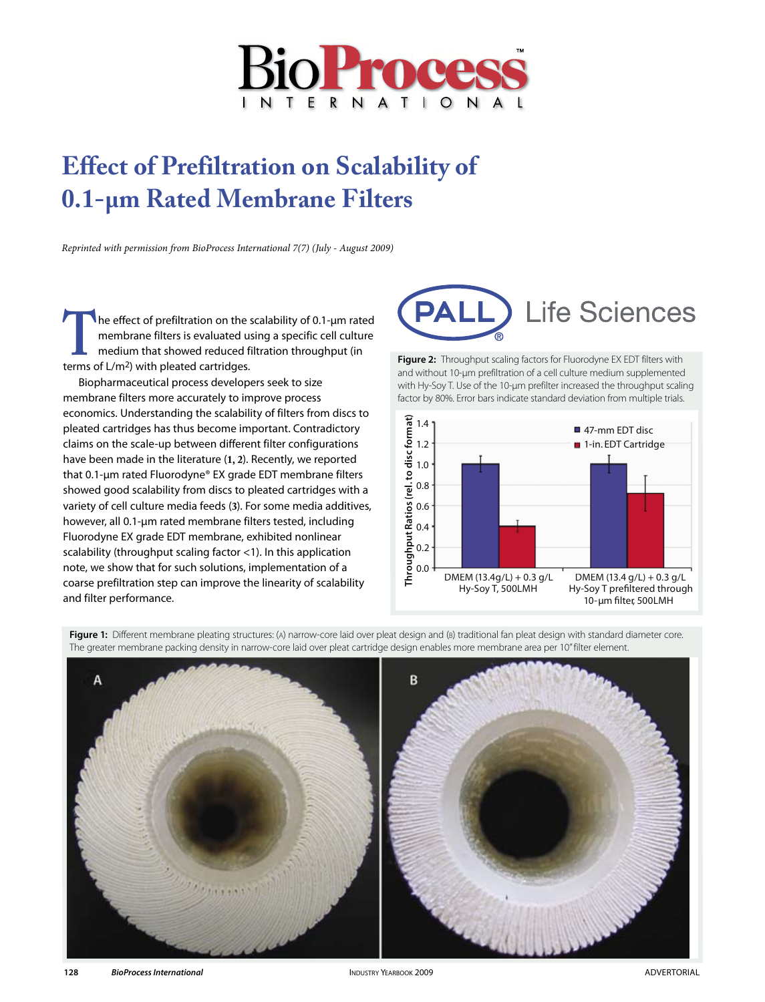

# **Effect of Prefiltration on Scalability of 0.1-µm Rated Membrane Filters**

*Reprinted with permission from BioProcess International 7(7) (July - August 2009)*

The effect of prefiltration on the scalability of 0.1-µm rated<br>membrane filters is evaluated using a specific cell culture<br>medium that showed reduced filtration throughput (in<br>terms of L/m<sup>2</sup>) with pleated cartridges. membrane filters is evaluated using a specific cell culture medium that showed reduced filtration throughput (in terms of L/m2) with pleated cartridges.

Biopharmaceutical process developers seek to size membrane filters more accurately to improve process economics. Understanding the scalability of filters from discs to pleated cartridges has thus become important. Contradictory claims on the scale-up between different filter configurations have been made in the literature (**1, 2**). Recently, we reported that 0.1-µm rated Fluorodyne® EX grade EDT membrane filters showed good scalability from discs to pleated cartridges with a variety of cell culture media feeds (**3**). For some media additives, however, all 0.1-um rated membrane filters tested, including Fluorodyne EX grade EDT membrane, exhibited nonlinear scalability (throughput scaling factor <1). In this application note, we show that for such solutions, implementation of a coarse prefiltration step can improve the linearity of scalability and filter performance.



**Figure 2:** Throughput scaling factors for Fluorodyne EX EDT filters with and without 10-µm prefiltration of a cell culture medium supplemented with Hy-Soy T. Use of the 10-um prefilter increased the throughput scaling factor by 80%. Error bars indicate standard deviation from multiple trials.



Figure 1: Different membrane pleating structures: (A) narrow-core laid over pleat design and (B) traditional fan pleat design with standard diameter core. The greater membrane packing density in narrow-core laid over pleat cartridge design enables more membrane area per 10" filter element.